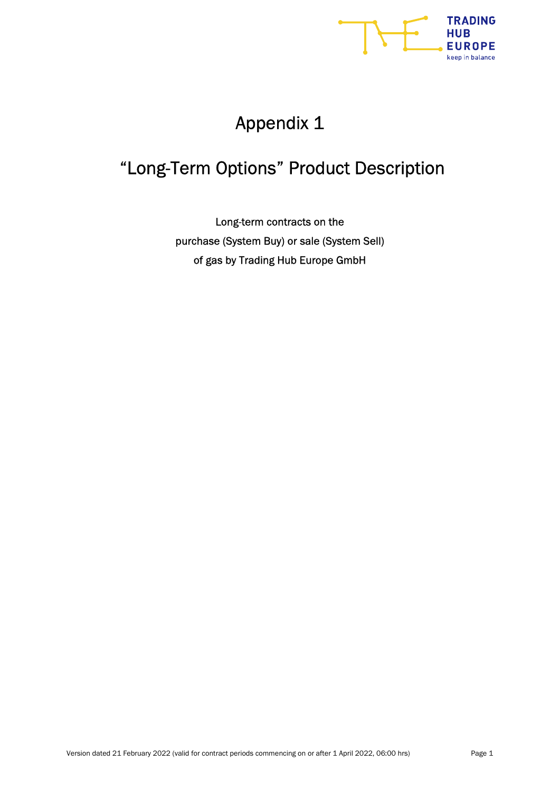

# Appendix 1

# "Long-Term Options" Product Description

Long-term contracts on the purchase (System Buy) or sale (System Sell) of gas by Trading Hub Europe GmbH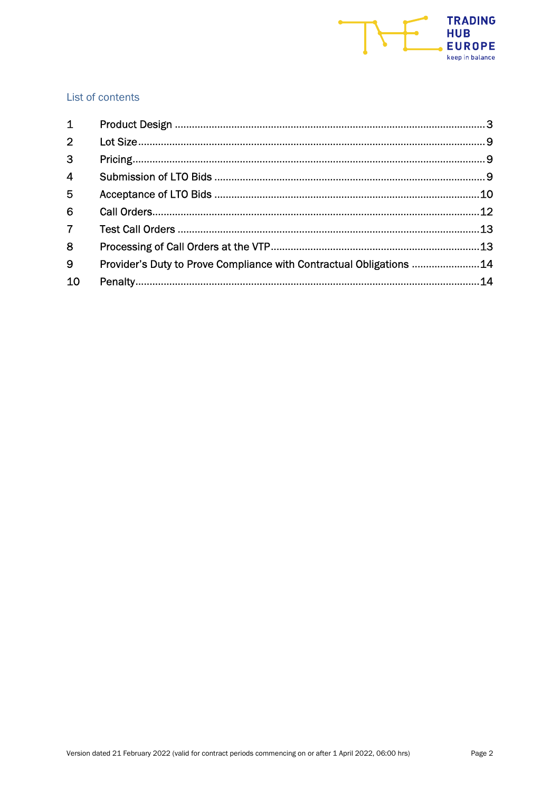

# List of contents

| 1              |                                                                     |  |
|----------------|---------------------------------------------------------------------|--|
| 2 <sup>7</sup> |                                                                     |  |
| 3 <sup>1</sup> |                                                                     |  |
| $\overline{4}$ |                                                                     |  |
| 5              |                                                                     |  |
| 6              |                                                                     |  |
| $\overline{7}$ |                                                                     |  |
| 8              |                                                                     |  |
| 9              | Provider's Duty to Prove Compliance with Contractual Obligations 14 |  |
| 10             |                                                                     |  |
|                |                                                                     |  |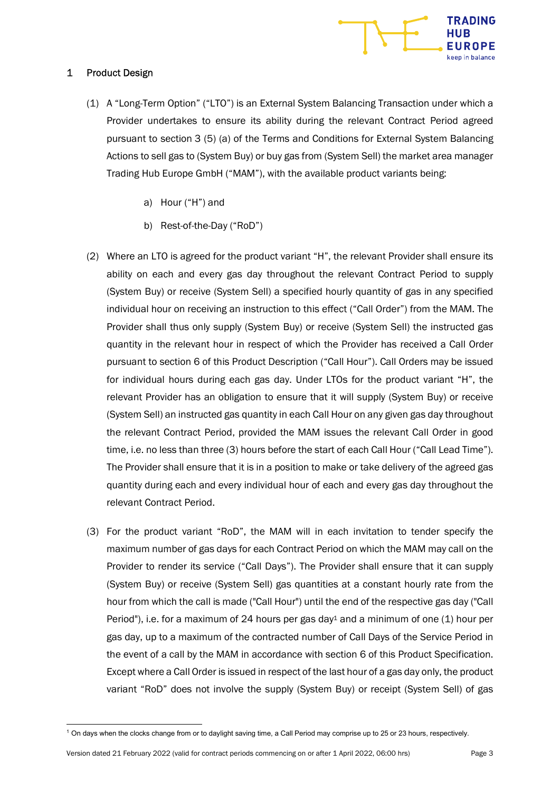

# 1 Product Design

- (1) A "Long-Term Option" ("LTO") is an External System Balancing Transaction under which a Provider undertakes to ensure its ability during the relevant Contract Period agreed pursuant to section 3 (5) (a) of the Terms and Conditions for External System Balancing Actions to sell gas to (System Buy) or buy gas from (System Sell) the market area manager Trading Hub Europe GmbH ("MAM"), with the available product variants being:
	- a) Hour ("H") and
	- b) Rest-of-the-Day ("RoD")
- (2) Where an LTO is agreed for the product variant "H", the relevant Provider shall ensure its ability on each and every gas day throughout the relevant Contract Period to supply (System Buy) or receive (System Sell) a specified hourly quantity of gas in any specified individual hour on receiving an instruction to this effect ("Call Order") from the MAM. The Provider shall thus only supply (System Buy) or receive (System Sell) the instructed gas quantity in the relevant hour in respect of which the Provider has received a Call Order pursuant to section 6 of this Product Description ("Call Hour"). Call Orders may be issued for individual hours during each gas day. Under LTOs for the product variant "H", the relevant Provider has an obligation to ensure that it will supply (System Buy) or receive (System Sell) an instructed gas quantity in each Call Hour on any given gas day throughout the relevant Contract Period, provided the MAM issues the relevant Call Order in good time, i.e. no less than three (3) hours before the start of each Call Hour ("Call Lead Time"). The Provider shall ensure that it is in a position to make or take delivery of the agreed gas quantity during each and every individual hour of each and every gas day throughout the relevant Contract Period.
- (3) For the product variant "RoD", the MAM will in each invitation to tender specify the maximum number of gas days for each Contract Period on which the MAM may call on the Provider to render its service ("Call Days"). The Provider shall ensure that it can supply (System Buy) or receive (System Sell) gas quantities at a constant hourly rate from the hour from which the call is made ("Call Hour") until the end of the respective gas day ("Call Period"), i.e. for a maximum of 24 hours per gas day<sup>1</sup> and a minimum of one  $(1)$  hour per gas day, up to a maximum of the contracted number of Call Days of the Service Period in the event of a call by the MAM in accordance with section 6 of this Product Specification. Except where a Call Order is issued in respect of the last hour of a gas day only, the product variant "RoD" does not involve the supply (System Buy) or receipt (System Sell) of gas

<sup>1</sup> On days when the clocks change from or to daylight saving time, a Call Period may comprise up to 25 or 23 hours, respectively.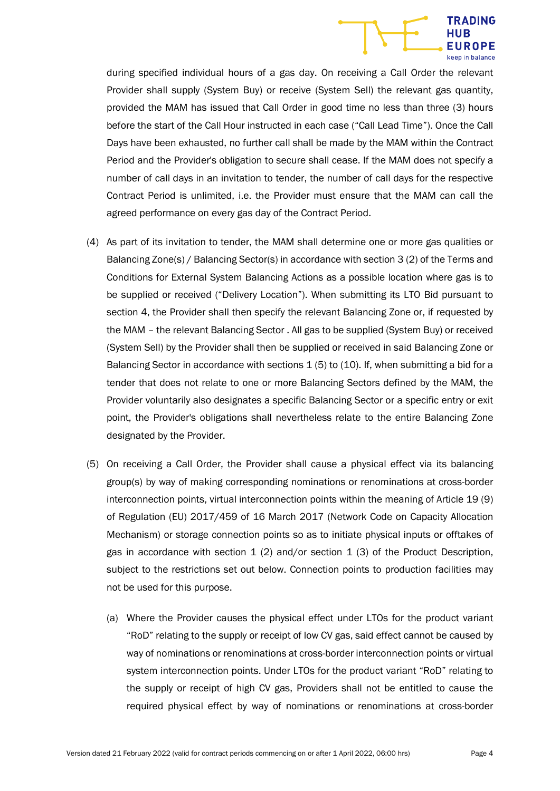

during specified individual hours of a gas day. On receiving a Call Order the relevant Provider shall supply (System Buy) or receive (System Sell) the relevant gas quantity, provided the MAM has issued that Call Order in good time no less than three (3) hours before the start of the Call Hour instructed in each case ("Call Lead Time"). Once the Call Days have been exhausted, no further call shall be made by the MAM within the Contract Period and the Provider's obligation to secure shall cease. If the MAM does not specify a number of call days in an invitation to tender, the number of call days for the respective Contract Period is unlimited, i.e. the Provider must ensure that the MAM can call the agreed performance on every gas day of the Contract Period.

- (4) As part of its invitation to tender, the MAM shall determine one or more gas qualities or Balancing Zone(s) / Balancing Sector(s) in accordance with section 3 (2) of the Terms and Conditions for External System Balancing Actions as a possible location where gas is to be supplied or received ("Delivery Location"). When submitting its LTO Bid pursuant to section 4, the Provider shall then specify the relevant Balancing Zone or, if requested by the MAM – the relevant Balancing Sector . All gas to be supplied (System Buy) or received (System Sell) by the Provider shall then be supplied or received in said Balancing Zone or Balancing Sector in accordance with sections 1 (5) to (10). If, when submitting a bid for a tender that does not relate to one or more Balancing Sectors defined by the MAM, the Provider voluntarily also designates a specific Balancing Sector or a specific entry or exit point, the Provider's obligations shall nevertheless relate to the entire Balancing Zone designated by the Provider.
- (5) On receiving a Call Order, the Provider shall cause a physical effect via its balancing group(s) by way of making corresponding nominations or renominations at cross-border interconnection points, virtual interconnection points within the meaning of Article 19 (9) of Regulation (EU) 2017/459 of 16 March 2017 (Network Code on Capacity Allocation Mechanism) or storage connection points so as to initiate physical inputs or offtakes of gas in accordance with section  $1(2)$  and/or section  $1(3)$  of the Product Description, subject to the restrictions set out below. Connection points to production facilities may not be used for this purpose.
	- (a) Where the Provider causes the physical effect under LTOs for the product variant "RoD" relating to the supply or receipt of low CV gas, said effect cannot be caused by way of nominations or renominations at cross-border interconnection points or virtual system interconnection points. Under LTOs for the product variant "RoD" relating to the supply or receipt of high CV gas, Providers shall not be entitled to cause the required physical effect by way of nominations or renominations at cross-border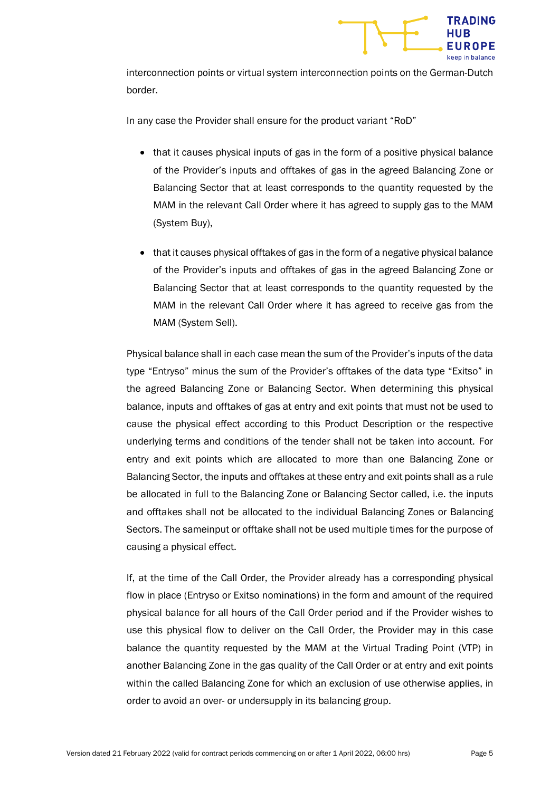

interconnection points or virtual system interconnection points on the German-Dutch border.

In any case the Provider shall ensure for the product variant "RoD"

- that it causes physical inputs of gas in the form of a positive physical balance of the Provider's inputs and offtakes of gas in the agreed Balancing Zone or Balancing Sector that at least corresponds to the quantity requested by the MAM in the relevant Call Order where it has agreed to supply gas to the MAM (System Buy),
- that it causes physical offtakes of gas in the form of a negative physical balance of the Provider's inputs and offtakes of gas in the agreed Balancing Zone or Balancing Sector that at least corresponds to the quantity requested by the MAM in the relevant Call Order where it has agreed to receive gas from the MAM (System Sell).

Physical balance shall in each case mean the sum of the Provider's inputs of the data type "Entryso" minus the sum of the Provider's offtakes of the data type "Exitso" in the agreed Balancing Zone or Balancing Sector. When determining this physical balance, inputs and offtakes of gas at entry and exit points that must not be used to cause the physical effect according to this Product Description or the respective underlying terms and conditions of the tender shall not be taken into account. For entry and exit points which are allocated to more than one Balancing Zone or Balancing Sector, the inputs and offtakes at these entry and exit points shall as a rule be allocated in full to the Balancing Zone or Balancing Sector called, i.e. the inputs and offtakes shall not be allocated to the individual Balancing Zones or Balancing Sectors. The sameinput or offtake shall not be used multiple times for the purpose of causing a physical effect.

If, at the time of the Call Order, the Provider already has a corresponding physical flow in place (Entryso or Exitso nominations) in the form and amount of the required physical balance for all hours of the Call Order period and if the Provider wishes to use this physical flow to deliver on the Call Order, the Provider may in this case balance the quantity requested by the MAM at the Virtual Trading Point (VTP) in another Balancing Zone in the gas quality of the Call Order or at entry and exit points within the called Balancing Zone for which an exclusion of use otherwise applies, in order to avoid an over- or undersupply in its balancing group.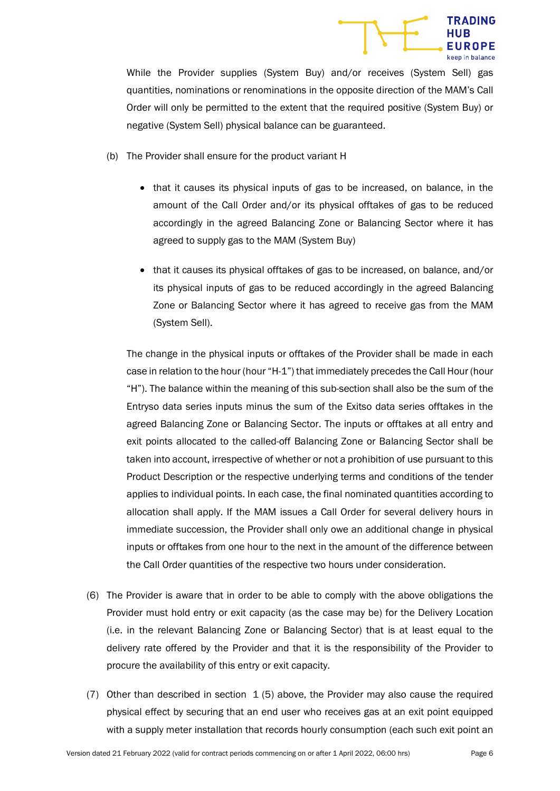

While the Provider supplies (System Buy) and/or receives (System Sell) gas quantities, nominations or renominations in the opposite direction of the MAM's Call Order will only be permitted to the extent that the required positive (System Buy) or negative (System Sell) physical balance can be guaranteed.

- (b) The Provider shall ensure for the product variant H
	- that it causes its physical inputs of gas to be increased, on balance, in the amount of the Call Order and/or its physical offtakes of gas to be reduced accordingly in the agreed Balancing Zone or Balancing Sector where it has agreed to supply gas to the MAM (System Buy)
	- that it causes its physical offtakes of gas to be increased, on balance, and/or its physical inputs of gas to be reduced accordingly in the agreed Balancing Zone or Balancing Sector where it has agreed to receive gas from the MAM (System Sell).

The change in the physical inputs or offtakes of the Provider shall be made in each case in relation to the hour (hour "H-1") that immediately precedes the Call Hour (hour "H"). The balance within the meaning of this sub-section shall also be the sum of the Entryso data series inputs minus the sum of the Exitso data series offtakes in the agreed Balancing Zone or Balancing Sector. The inputs or offtakes at all entry and exit points allocated to the called-off Balancing Zone or Balancing Sector shall be taken into account, irrespective of whether or not a prohibition of use pursuant to this Product Description or the respective underlying terms and conditions of the tender applies to individual points. In each case, the final nominated quantities according to allocation shall apply. If the MAM issues a Call Order for several delivery hours in immediate succession, the Provider shall only owe an additional change in physical inputs or offtakes from one hour to the next in the amount of the difference between the Call Order quantities of the respective two hours under consideration.

- (6) The Provider is aware that in order to be able to comply with the above obligations the Provider must hold entry or exit capacity (as the case may be) for the Delivery Location (i.e. in the relevant Balancing Zone or Balancing Sector) that is at least equal to the delivery rate offered by the Provider and that it is the responsibility of the Provider to procure the availability of this entry or exit capacity.
- (7) Other than described in section 1 (5) above, the Provider may also cause the required physical effect by securing that an end user who receives gas at an exit point equipped with a supply meter installation that records hourly consumption (each such exit point an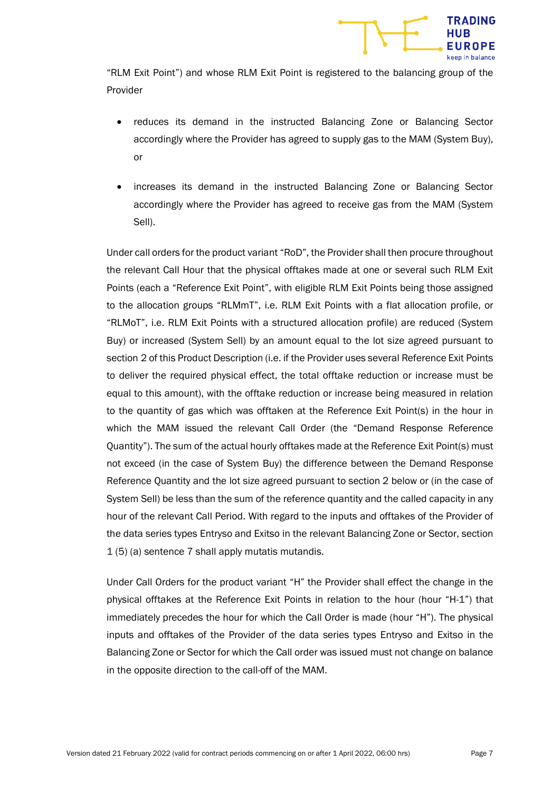

"RLM Exit Point") and whose RLM Exit Point is registered to the balancing group of the Provider

- reduces its demand in the instructed Balancing Zone or Balancing Sector accordingly where the Provider has agreed to supply gas to the MAM (System Buy), or
- increases its demand in the instructed Balancing Zone or Balancing Sector accordingly where the Provider has agreed to receive gas from the MAM (System Sell).

Under call orders for the product variant "RoD", the Provider shall then procure throughout the relevant Call Hour that the physical offtakes made at one or several such RLM Exit Points (each a "Reference Exit Point", with eligible RLM Exit Points being those assigned to the allocation groups "RLMmT", i.e. RLM Exit Points with a flat allocation profile, or "RLMoT", i.e. RLM Exit Points with a structured allocation profile) are reduced (System Buy) or increased (System Sell) by an amount equal to the lot size agreed pursuant to section 2 of this Product Description (i.e. if the Provider uses several Reference Exit Points to deliver the required physical effect, the total offtake reduction or increase must be equal to this amount), with the offtake reduction or increase being measured in relation to the quantity of gas which was offtaken at the Reference Exit Point(s) in the hour in which the MAM issued the relevant Call Order (the "Demand Response Reference Quantity"). The sum of the actual hourly offtakes made at the Reference Exit Point(s) must not exceed (in the case of System Buy) the difference between the Demand Response Reference Quantity and the lot size agreed pursuant to section 2 below or (in the case of System Sell) be less than the sum of the reference quantity and the called capacity in any hour of the relevant Call Period. With regard to the inputs and offtakes of the Provider of the data series types Entryso and Exitso in the relevant Balancing Zone or Sector, section 1 (5) (a) sentence 7 shall apply mutatis mutandis.

Under Call Orders for the product variant "H" the Provider shall effect the change in the physical offtakes at the Reference Exit Points in relation to the hour (hour "H-1") that immediately precedes the hour for which the Call Order is made (hour "H"). The physical inputs and offtakes of the Provider of the data series types Entryso and Exitso in the Balancing Zone or Sector for which the Call order was issued must not change on balance in the opposite direction to the call-off of the MAM.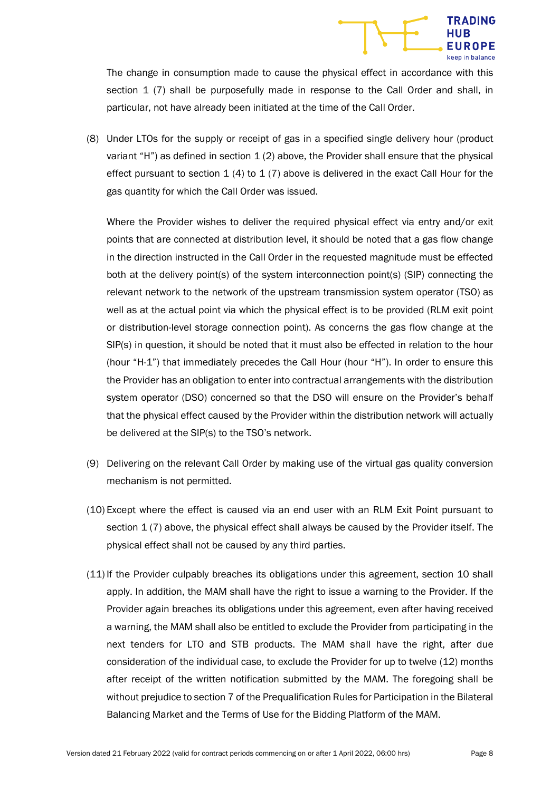

The change in consumption made to cause the physical effect in accordance with this section 1 (7) shall be purposefully made in response to the Call Order and shall, in particular, not have already been initiated at the time of the Call Order.

(8) Under LTOs for the supply or receipt of gas in a specified single delivery hour (product variant "H") as defined in section  $1(2)$  above, the Provider shall ensure that the physical effect pursuant to section  $1 \nvert 4$  to  $1 \nvert 7$  above is delivered in the exact Call Hour for the gas quantity for which the Call Order was issued.

Where the Provider wishes to deliver the required physical effect via entry and/or exit points that are connected at distribution level, it should be noted that a gas flow change in the direction instructed in the Call Order in the requested magnitude must be effected both at the delivery point(s) of the system interconnection point(s) (SIP) connecting the relevant network to the network of the upstream transmission system operator (TSO) as well as at the actual point via which the physical effect is to be provided (RLM exit point or distribution-level storage connection point). As concerns the gas flow change at the SIP(s) in question, it should be noted that it must also be effected in relation to the hour (hour "H-1") that immediately precedes the Call Hour (hour "H"). In order to ensure this the Provider has an obligation to enter into contractual arrangements with the distribution system operator (DSO) concerned so that the DSO will ensure on the Provider's behalf that the physical effect caused by the Provider within the distribution network will actually be delivered at the SIP(s) to the TSO's network.

- (9) Delivering on the relevant Call Order by making use of the virtual gas quality conversion mechanism is not permitted.
- (10) Except where the effect is caused via an end user with an RLM Exit Point pursuant to section 1 (7) above, the physical effect shall always be caused by the Provider itself. The physical effect shall not be caused by any third parties.
- (11) If the Provider culpably breaches its obligations under this agreement, section 10 shall apply. In addition, the MAM shall have the right to issue a warning to the Provider. If the Provider again breaches its obligations under this agreement, even after having received a warning, the MAM shall also be entitled to exclude the Provider from participating in the next tenders for LTO and STB products. The MAM shall have the right, after due consideration of the individual case, to exclude the Provider for up to twelve (12) months after receipt of the written notification submitted by the MAM. The foregoing shall be without prejudice to section 7 of the Prequalification Rules for Participation in the Bilateral Balancing Market and the Terms of Use for the Bidding Platform of the MAM.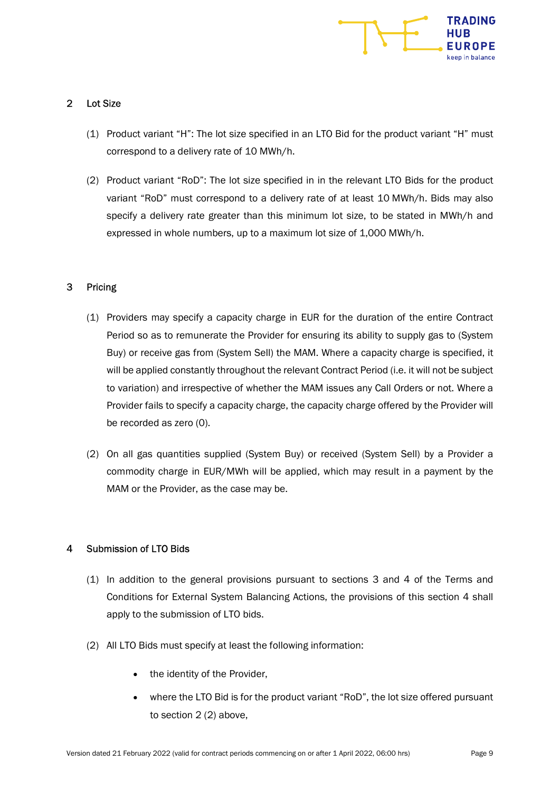

#### 2 Lot Size

- (1) Product variant "H": The lot size specified in an LTO Bid for the product variant "H" must correspond to a delivery rate of 10 MWh/h.
- (2) Product variant "RoD": The lot size specified in in the relevant LTO Bids for the product variant "RoD" must correspond to a delivery rate of at least 10 MWh/h. Bids may also specify a delivery rate greater than this minimum lot size, to be stated in MWh/h and expressed in whole numbers, up to a maximum lot size of 1,000 MWh/h.

# 3 Pricing

- (1) Providers may specify a capacity charge in EUR for the duration of the entire Contract Period so as to remunerate the Provider for ensuring its ability to supply gas to (System Buy) or receive gas from (System Sell) the MAM. Where a capacity charge is specified, it will be applied constantly throughout the relevant Contract Period (i.e. it will not be subject to variation) and irrespective of whether the MAM issues any Call Orders or not. Where a Provider fails to specify a capacity charge, the capacity charge offered by the Provider will be recorded as zero (0).
- (2) On all gas quantities supplied (System Buy) or received (System Sell) by a Provider a commodity charge in EUR/MWh will be applied, which may result in a payment by the MAM or the Provider, as the case may be.

# 4 Submission of LTO Bids

- (1) In addition to the general provisions pursuant to sections 3 and 4 of the Terms and Conditions for External System Balancing Actions, the provisions of this section 4 shall apply to the submission of LTO bids.
- (2) All LTO Bids must specify at least the following information:
	- the identity of the Provider,
	- where the LTO Bid is for the product variant "RoD", the lot size offered pursuant to section 2 (2) above,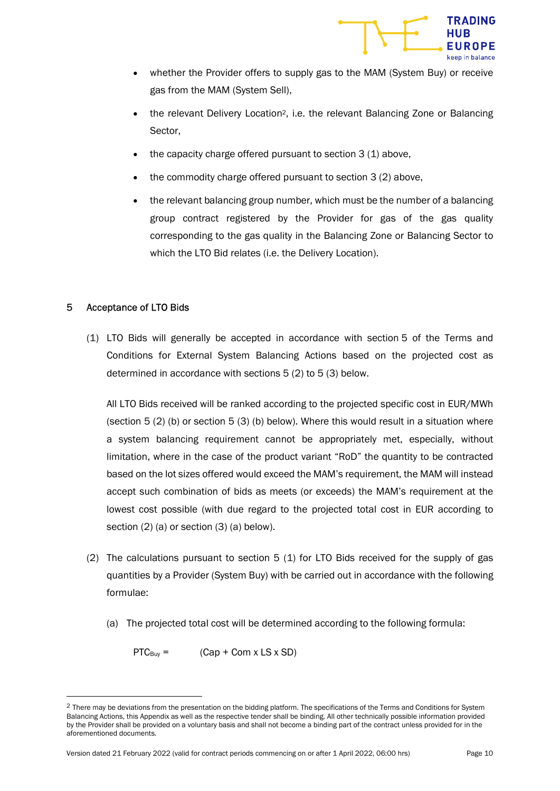

- whether the Provider offers to supply gas to the MAM (System Buy) or receive gas from the MAM (System Sell),
- the relevant Delivery Location2, i.e. the relevant Balancing Zone or Balancing Sector,
- the capacity charge offered pursuant to section 3 (1) above,
- the commodity charge offered pursuant to section 3 (2) above,
- the relevant balancing group number, which must be the number of a balancing group contract registered by the Provider for gas of the gas quality corresponding to the gas quality in the Balancing Zone or Balancing Sector to which the LTO Bid relates (i.e. the Delivery Location).

# 5 Acceptance of LTO Bids

(1) LTO Bids will generally be accepted in accordance with section 5 of the Terms and Conditions for External System Balancing Actions based on the projected cost as determined in accordance with sections 5 (2) to 5 (3) below.

All LTO Bids received will be ranked according to the projected specific cost in EUR/MWh (section 5 (2) (b) or section 5 (3) (b) below). Where this would result in a situation where a system balancing requirement cannot be appropriately met, especially, without limitation, where in the case of the product variant "RoD" the quantity to be contracted based on the lot sizes offered would exceed the MAM's requirement, the MAM will instead accept such combination of bids as meets (or exceeds) the MAM's requirement at the lowest cost possible (with due regard to the projected total cost in EUR according to section (2) (a) or section (3) (a) below).

- (2) The calculations pursuant to section 5 (1) for LTO Bids received for the supply of gas quantities by a Provider (System Buy) with be carried out in accordance with the following formulae:
	- (a) The projected total cost will be determined according to the following formula:

 $PTC_{\text{Buy}} =$  (Cap + Com x LS x SD)

<sup>&</sup>lt;sup>2</sup> There may be deviations from the presentation on the bidding platform. The specifications of the Terms and Conditions for System Balancing Actions, this Appendix as well as the respective tender shall be binding. All other technically possible information provided by the Provider shall be provided on a voluntary basis and shall not become a binding part of the contract unless provided for in the aforementioned documents.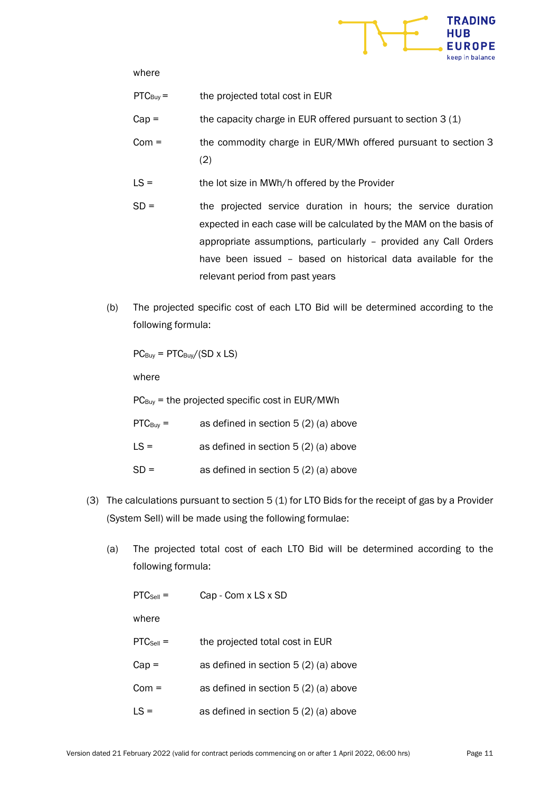

where

- $PTC_{\text{Buy}} =$  the projected total cost in EUR
- Cap = the capacity charge in EUR offered pursuant to section  $3(1)$
- Com = the commodity charge in EUR/MWh offered pursuant to section 3 (2)
- $LS =$  the lot size in MWh/h offered by the Provider
- SD = the projected service duration in hours; the service duration expected in each case will be calculated by the MAM on the basis of appropriate assumptions, particularly – provided any Call Orders have been issued – based on historical data available for the relevant period from past years
- (b) The projected specific cost of each LTO Bid will be determined according to the following formula:

 $PC_{\text{Buy}} = PTC_{\text{Buy}}/(SD \times LS)$ 

where

 $PC_{\text{Buy}}$  = the projected specific cost in EUR/MWh

- $PTC_{\text{Buy}} =$  as defined in section 5 (2) (a) above
- $LS =$  as defined in section  $5(2)(a)$  above
- $SD =$  as defined in section  $5(2)(a)$  above
- (3) The calculations pursuant to section 5 (1) for LTO Bids for the receipt of gas by a Provider (System Sell) will be made using the following formulae:
	- (a) The projected total cost of each LTO Bid will be determined according to the following formula:

| $PTC_{\text{Sell}} =$ | Cap - Com x LS x SD                   |
|-----------------------|---------------------------------------|
| where                 |                                       |
| $PTC_{\text{Self}}$ = | the projected total cost in EUR       |
| $Cap =$               | as defined in section $5(2)(a)$ above |
| $Com =$               | as defined in section $5(2)(a)$ above |
| LS =                  | as defined in section $5(2)(a)$ above |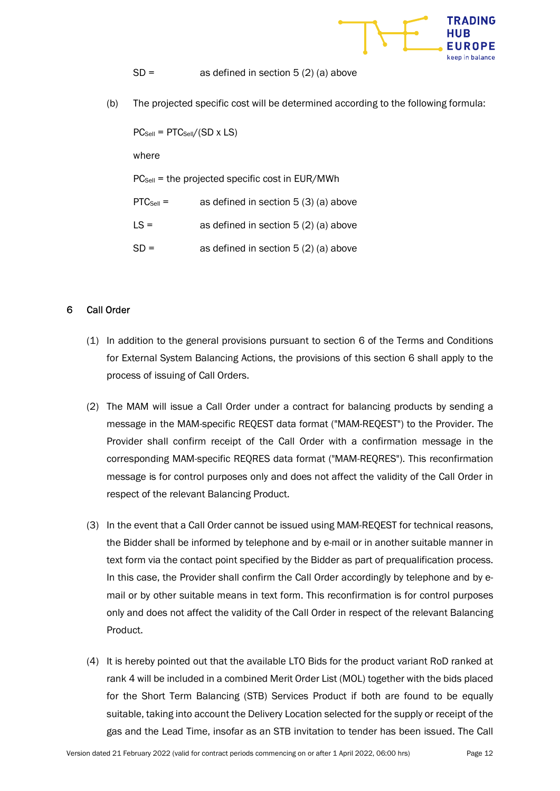

#### $SD =$  as defined in section 5 (2) (a) above

(b) The projected specific cost will be determined according to the following formula:

 $PC_{\text{Self}} = PTC_{\text{Self}} / (\text{SD} \times \text{LS})$ where PC<sub>Sell</sub> = the projected specific cost in EUR/MWh  $PTC_{\text{Self}} =$  as defined in section 5 (3) (a) above  $LS =$  as defined in section  $5(2)(a)$  above  $SD =$  as defined in section  $5(2)(a)$  above

#### 6 Call Order

- (1) In addition to the general provisions pursuant to section 6 of the Terms and Conditions for External System Balancing Actions, the provisions of this section 6 shall apply to the process of issuing of Call Orders.
- (2) The MAM will issue a Call Order under a contract for balancing products by sending a message in the MAM-specific REQEST data format ("MAM-REQEST") to the Provider. The Provider shall confirm receipt of the Call Order with a confirmation message in the corresponding MAM-specific REQRES data format ("MAM-REQRES"). This reconfirmation message is for control purposes only and does not affect the validity of the Call Order in respect of the relevant Balancing Product.
- (3) In the event that a Call Order cannot be issued using MAM-REQEST for technical reasons, the Bidder shall be informed by telephone and by e-mail or in another suitable manner in text form via the contact point specified by the Bidder as part of prequalification process. In this case, the Provider shall confirm the Call Order accordingly by telephone and by email or by other suitable means in text form. This reconfirmation is for control purposes only and does not affect the validity of the Call Order in respect of the relevant Balancing Product.
- (4) It is hereby pointed out that the available LTO Bids for the product variant RoD ranked at rank 4 will be included in a combined Merit Order List (MOL) together with the bids placed for the Short Term Balancing (STB) Services Product if both are found to be equally suitable, taking into account the Delivery Location selected for the supply or receipt of the gas and the Lead Time, insofar as an STB invitation to tender has been issued. The Call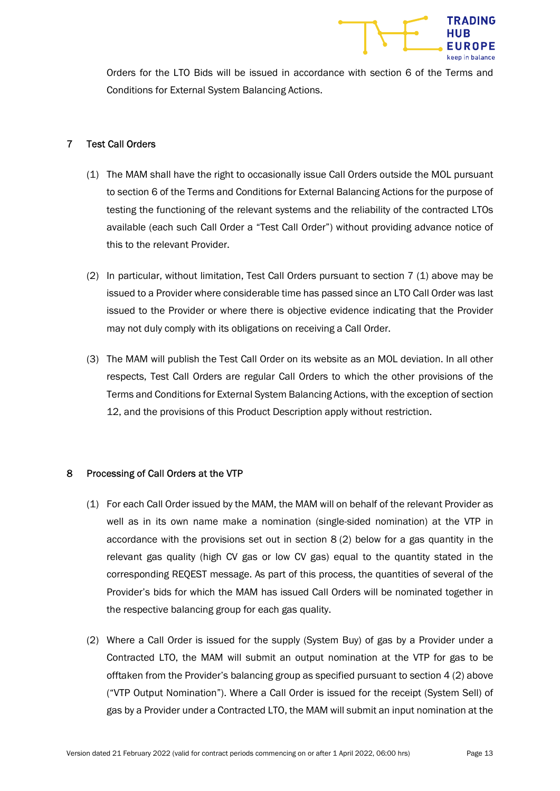

Orders for the LTO Bids will be issued in accordance with section 6 of the Terms and Conditions for External System Balancing Actions.

#### 7 Test Call Orders

- (1) The MAM shall have the right to occasionally issue Call Orders outside the MOL pursuant to section 6 of the Terms and Conditions for External Balancing Actions for the purpose of testing the functioning of the relevant systems and the reliability of the contracted LTOs available (each such Call Order a "Test Call Order") without providing advance notice of this to the relevant Provider.
- (2) In particular, without limitation, Test Call Orders pursuant to section 7 (1) above may be issued to a Provider where considerable time has passed since an LTO Call Order was last issued to the Provider or where there is objective evidence indicating that the Provider may not duly comply with its obligations on receiving a Call Order.
- (3) The MAM will publish the Test Call Order on its website as an MOL deviation. In all other respects, Test Call Orders are regular Call Orders to which the other provisions of the Terms and Conditions for External System Balancing Actions, with the exception of section 12, and the provisions of this Product Description apply without restriction.

# 8 Processing of Call Orders at the VTP

- (1) For each Call Order issued by the MAM, the MAM will on behalf of the relevant Provider as well as in its own name make a nomination (single-sided nomination) at the VTP in accordance with the provisions set out in section 8 (2) below for a gas quantity in the relevant gas quality (high CV gas or low CV gas) equal to the quantity stated in the corresponding REQEST message. As part of this process, the quantities of several of the Provider's bids for which the MAM has issued Call Orders will be nominated together in the respective balancing group for each gas quality.
- (2) Where a Call Order is issued for the supply (System Buy) of gas by a Provider under a Contracted LTO, the MAM will submit an output nomination at the VTP for gas to be offtaken from the Provider's balancing group as specified pursuant to section 4 (2) above ("VTP Output Nomination"). Where a Call Order is issued for the receipt (System Sell) of gas by a Provider under a Contracted LTO, the MAM will submit an input nomination at the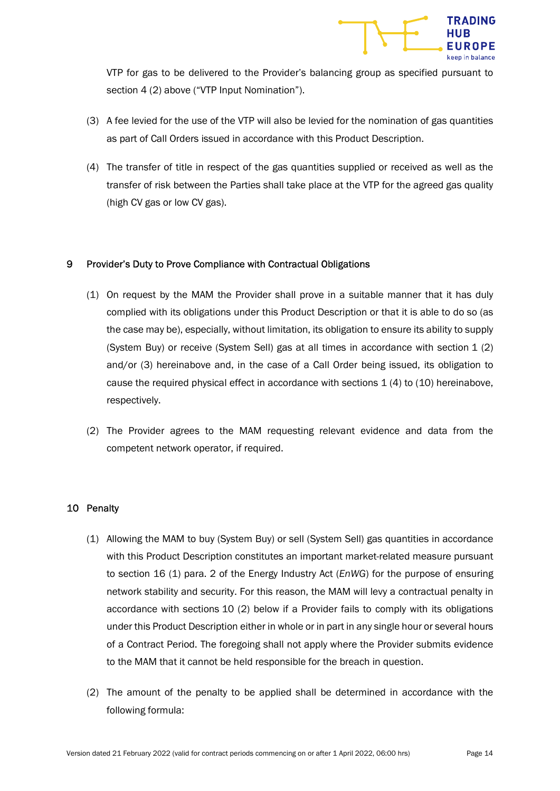VTP for gas to be delivered to the Provider's balancing group as specified pursuant to section 4 (2) above ("VTP Input Nomination").

- (3) A fee levied for the use of the VTP will also be levied for the nomination of gas quantities as part of Call Orders issued in accordance with this Product Description.
- (4) The transfer of title in respect of the gas quantities supplied or received as well as the transfer of risk between the Parties shall take place at the VTP for the agreed gas quality (high CV gas or low CV gas).

# 9 Provider's Duty to Prove Compliance with Contractual Obligations

- (1) On request by the MAM the Provider shall prove in a suitable manner that it has duly complied with its obligations under this Product Description or that it is able to do so (as the case may be), especially, without limitation, its obligation to ensure its ability to supply (System Buy) or receive (System Sell) gas at all times in accordance with section 1 (2) and/or (3) hereinabove and, in the case of a Call Order being issued, its obligation to cause the required physical effect in accordance with sections 1 (4) to (10) hereinabove, respectively.
- (2) The Provider agrees to the MAM requesting relevant evidence and data from the competent network operator, if required.

#### 10 Penalty

- (1) Allowing the MAM to buy (System Buy) or sell (System Sell) gas quantities in accordance with this Product Description constitutes an important market-related measure pursuant to section 16 (1) para. 2 of the Energy Industry Act (EnWG) for the purpose of ensuring network stability and security. For this reason, the MAM will levy a contractual penalty in accordance with sections 10 (2) below if a Provider fails to comply with its obligations under this Product Description either in whole or in part in any single hour or several hours of a Contract Period. The foregoing shall not apply where the Provider submits evidence to the MAM that it cannot be held responsible for the breach in question.
- (2) The amount of the penalty to be applied shall be determined in accordance with the following formula: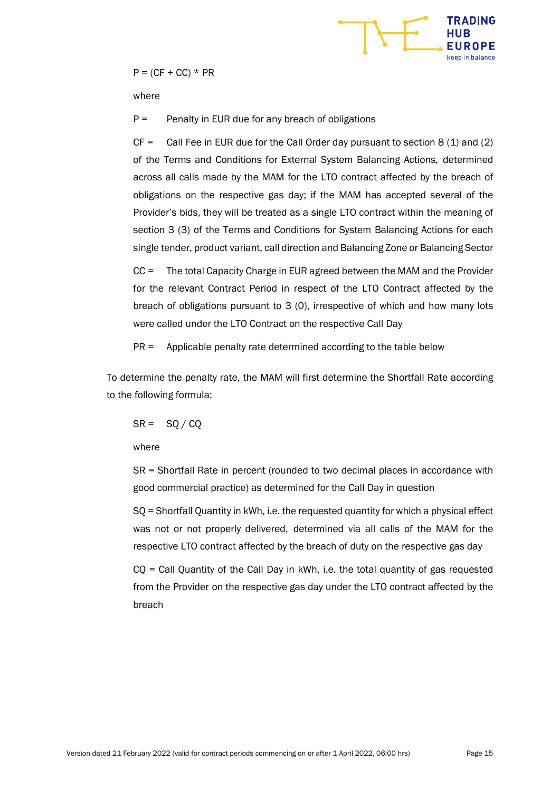$P = (CF + CC) * PR$ 

TRADING

where

 $P =$  Penalty in EUR due for any breach of obligations

 $CF =$  Call Fee in EUR due for the Call Order day pursuant to section 8 (1) and (2) of the Terms and Conditions for External System Balancing Actions, determined across all calls made by the MAM for the LTO contract affected by the breach of obligations on the respective gas day; if the MAM has accepted several of the Provider's bids, they will be treated as a single LTO contract within the meaning of section 3 (3) of the Terms and Conditions for System Balancing Actions for each single tender, product variant, call direction and Balancing Zone or Balancing Sector

CC = The total Capacity Charge in EUR agreed between the MAM and the Provider for the relevant Contract Period in respect of the LTO Contract affected by the breach of obligations pursuant to 3 (0), irrespective of which and how many lots were called under the LTO Contract on the respective Call Day

PR = Applicable penalty rate determined according to the table below

To determine the penalty rate, the MAM will first determine the Shortfall Rate according to the following formula:

 $SR =$  SQ / CQ

where

SR = Shortfall Rate in percent (rounded to two decimal places in accordance with good commercial practice) as determined for the Call Day in question

SQ = Shortfall Quantity in kWh, i.e. the requested quantity for which a physical effect was not or not properly delivered, determined via all calls of the MAM for the respective LTO contract affected by the breach of duty on the respective gas day

CQ = Call Quantity of the Call Day in kWh, i.e. the total quantity of gas requested from the Provider on the respective gas day under the LTO contract affected by the breach